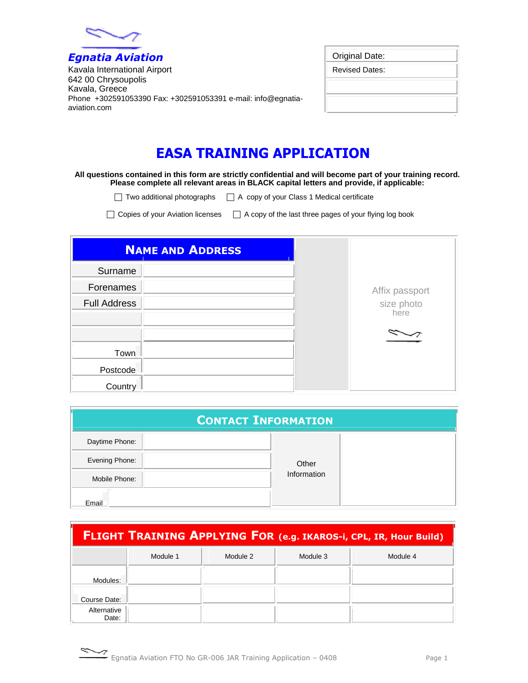

*Egnatia Aviation* Kavala International Airport 642 00 Chrysoupolis Kavala, Greece Phone +302591053390 Fax: +302591053391 e-mail: info@egnatiaaviation.com

| Original Date:        |  |
|-----------------------|--|
| <b>Revised Dates:</b> |  |
|                       |  |
|                       |  |
|                       |  |

## **EASA TRAINING APPLICATION**

## **All questions contained in this form are strictly confidential and will become part of your training record. Please complete all relevant areas in BLACK capital letters and provide, if applicable:**

 $\Box$  Two additional photographs  $\Box$  A copy of your Class 1 Medical certificate

 $\Box$  Copies of your Aviation licenses  $\Box$  A copy of the last three pages of your flying log book

| <b>NAME AND ADDRESS</b> |                    |
|-------------------------|--------------------|
| Surname                 |                    |
| Forenames               | Affix passport     |
| <b>Full Address</b>     | size photo<br>here |
|                         |                    |
| Town                    |                    |
| Postcode                |                    |
| Country                 |                    |

| <b>CONTACT INFORMATION</b> |  |             |  |  |
|----------------------------|--|-------------|--|--|
| Daytime Phone:             |  |             |  |  |
| Evening Phone:             |  | Other       |  |  |
| Mobile Phone:              |  | Information |  |  |
| Email                      |  |             |  |  |

|                      | <b>FLIGHT TRAINING APPLYING FOR (e.g. IKAROS-i, CPL, IR, Hour Build)</b> |          |          |          |  |  |
|----------------------|--------------------------------------------------------------------------|----------|----------|----------|--|--|
|                      | Module 1                                                                 | Module 2 | Module 3 | Module 4 |  |  |
| Modules:             |                                                                          |          |          |          |  |  |
| Course Date:         |                                                                          |          |          |          |  |  |
| Alternative<br>Date: |                                                                          |          |          |          |  |  |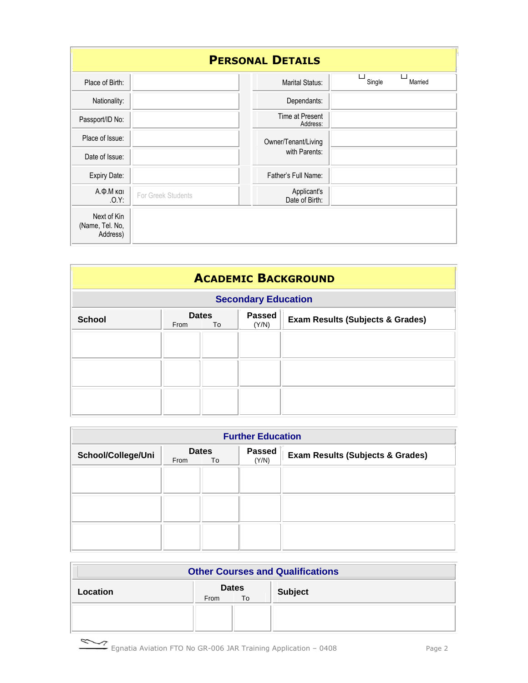| <b>PERSONAL DETAILS</b>                    |                    |                                    |                   |  |  |  |
|--------------------------------------------|--------------------|------------------------------------|-------------------|--|--|--|
| Place of Birth:                            |                    | <b>Marital Status:</b>             | Single<br>Married |  |  |  |
| Nationality:                               |                    | Dependants:                        |                   |  |  |  |
| Passport/ID No:                            |                    | <b>Time at Present</b><br>Address: |                   |  |  |  |
| Place of Issue:                            |                    | Owner/Tenant/Living                |                   |  |  |  |
| Date of Issue:                             |                    | with Parents:                      |                   |  |  |  |
| Expiry Date:                               |                    | Father's Full Name:                |                   |  |  |  |
| Α.Φ.Μ και<br>.0.Y:                         | For Greek Students | Applicant's<br>Date of Birth:      |                   |  |  |  |
| Next of Kin<br>(Name, Tel. No,<br>Address) |                    |                                    |                   |  |  |  |

| <b>ACADEMIC BACKGROUND</b> |                                                                                                     |                            |  |  |  |
|----------------------------|-----------------------------------------------------------------------------------------------------|----------------------------|--|--|--|
|                            |                                                                                                     | <b>Secondary Education</b> |  |  |  |
| <b>School</b>              | <b>Passed</b><br><b>Dates</b><br><b>Exam Results (Subjects &amp; Grades)</b><br>(Y/N)<br>From<br>To |                            |  |  |  |
|                            |                                                                                                     |                            |  |  |  |
|                            |                                                                                                     |                            |  |  |  |
|                            |                                                                                                     |                            |  |  |  |
|                            |                                                                                                     |                            |  |  |  |

| <b>Further Education</b> |      |                    |                        |                                             |  |
|--------------------------|------|--------------------|------------------------|---------------------------------------------|--|
| School/College/Uni       | From | <b>Dates</b><br>To | <b>Passed</b><br>(Y/N) | <b>Exam Results (Subjects &amp; Grades)</b> |  |
|                          |      |                    |                        |                                             |  |
|                          |      |                    |                        |                                             |  |
|                          |      |                    |                        |                                             |  |
|                          |      |                    |                        |                                             |  |

| <b>Other Courses and Qualifications</b>                  |  |  |  |  |  |
|----------------------------------------------------------|--|--|--|--|--|
| <b>Dates</b><br><b>Subject</b><br>Location<br>To<br>From |  |  |  |  |  |
|                                                          |  |  |  |  |  |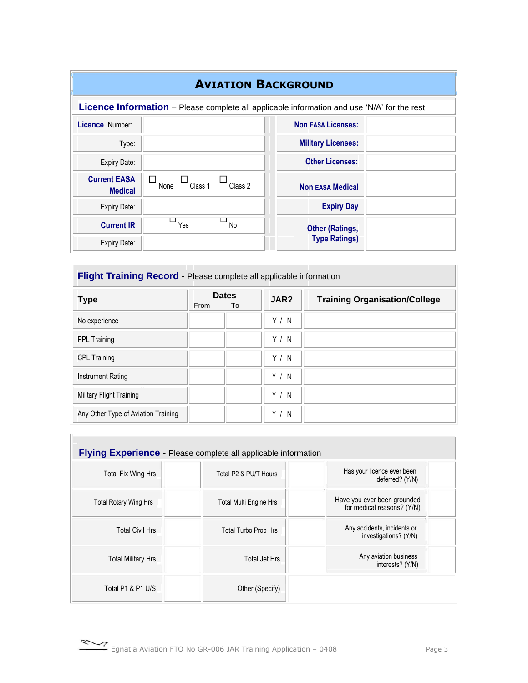| <b>AVIATION BACKGROUND</b>            |                 |           |                                                                                                    |  |
|---------------------------------------|-----------------|-----------|----------------------------------------------------------------------------------------------------|--|
|                                       |                 |           | <b>Licence Information</b> – Please complete all applicable information and use 'N/A' for the rest |  |
| Licence Number:                       |                 |           | <b>Non EASA Licenses:</b>                                                                          |  |
| Type:                                 |                 |           | <b>Military Licenses:</b>                                                                          |  |
| Expiry Date:                          |                 |           | <b>Other Licenses:</b>                                                                             |  |
| <b>Current EASA</b><br><b>Medical</b> | Class 1<br>None | Class 2   | <b>Non EASA Medical</b>                                                                            |  |
| Expiry Date:                          |                 |           | <b>Expiry Day</b>                                                                                  |  |
| <b>Current IR</b>                     | Yes             | <b>No</b> | <b>Other (Ratings,</b>                                                                             |  |
| Expiry Date:                          |                 |           | <b>Type Ratings)</b>                                                                               |  |

| Flight Training Record - Please complete all applicable information |                            |       |                                      |  |  |
|---------------------------------------------------------------------|----------------------------|-------|--------------------------------------|--|--|
| <b>Type</b>                                                         | <b>Dates</b><br>From<br>To | JAR?  | <b>Training Organisation/College</b> |  |  |
| No experience                                                       |                            | Y / N |                                      |  |  |
| <b>PPL Training</b>                                                 |                            | Y / N |                                      |  |  |
| <b>CPL Training</b>                                                 |                            | Y / N |                                      |  |  |
| <b>Instrument Rating</b>                                            |                            | Y / N |                                      |  |  |
| Military Flight Training                                            |                            | Y / N |                                      |  |  |
| Any Other Type of Aviation Training                                 |                            | Y / N |                                      |  |  |

| <b>Flying Experience</b> - Please complete all applicable information |                             |                                                           |  |  |  |  |
|-----------------------------------------------------------------------|-----------------------------|-----------------------------------------------------------|--|--|--|--|
| Total Fix Wing Hrs                                                    | Total P2 & PU/T Hours       | Has your licence ever been<br>deferred? (Y/N)             |  |  |  |  |
| <b>Total Rotary Wing Hrs</b>                                          | Total Multi Engine Hrs      | Have you ever been grounded<br>for medical reasons? (Y/N) |  |  |  |  |
| <b>Total Civil Hrs</b>                                                | <b>Total Turbo Prop Hrs</b> | Any accidents, incidents or<br>investigations? (Y/N)      |  |  |  |  |
| <b>Total Military Hrs</b>                                             | Total Jet Hrs               | Any aviation business<br>interests? (Y/N)                 |  |  |  |  |
| Total P1 & P1 U/S                                                     | Other (Specify)             |                                                           |  |  |  |  |

Egnatia Aviation FTO No GR-006 JAR Training Application – 0408 Page 3